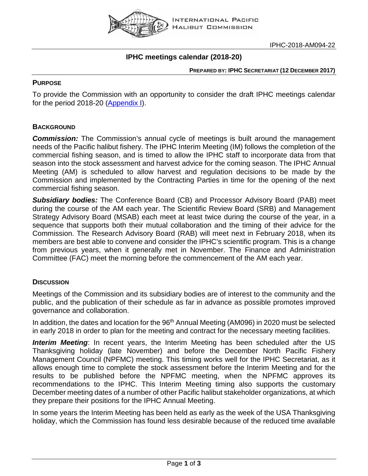

## **IPHC meetings calendar (2018-20)**

**PREPARED BY: IPHC SECRETARIAT (12 DECEMBER 2017)**

### **PURPOSE**

To provide the Commission with an opportunity to consider the draft IPHC meetings calendar for the period 2018-20 [\(Appendix I\)](#page-2-0).

### **BACKGROUND**

**Commission:** The Commission's annual cycle of meetings is built around the management needs of the Pacific halibut fishery. The IPHC Interim Meeting (IM) follows the completion of the commercial fishing season, and is timed to allow the IPHC staff to incorporate data from that season into the stock assessment and harvest advice for the coming season. The IPHC Annual Meeting (AM) is scheduled to allow harvest and regulation decisions to be made by the Commission and implemented by the Contracting Parties in time for the opening of the next commercial fishing season.

*Subsidiary bodies:* The Conference Board (CB) and Processor Advisory Board (PAB) meet during the course of the AM each year. The Scientific Review Board (SRB) and Management Strategy Advisory Board (MSAB) each meet at least twice during the course of the year, in a sequence that supports both their mutual collaboration and the timing of their advice for the Commission. The Research Advisory Board (RAB) will meet next in February 2018, when its members are best able to convene and consider the IPHC's scientific program. This is a change from previous years, when it generally met in November. The Finance and Administration Committee (FAC) meet the morning before the commencement of the AM each year.

### **DISCUSSION**

Meetings of the Commission and its subsidiary bodies are of interest to the community and the public, and the publication of their schedule as far in advance as possible promotes improved governance and collaboration.

In addition, the dates and location for the 96<sup>th</sup> Annual Meeting (AM096) in 2020 must be selected in early 2018 in order to plan for the meeting and contract for the necessary meeting facilities.

**Interim Meeting**: In recent years, the Interim Meeting has been scheduled after the US Thanksgiving holiday (late November) and before the December North Pacific Fishery Management Council (NPFMC) meeting. This timing works well for the IPHC Secretariat, as it allows enough time to complete the stock assessment before the Interim Meeting and for the results to be published before the NPFMC meeting, when the NPFMC approves its recommendations to the IPHC. This Interim Meeting timing also supports the customary December meeting dates of a number of other Pacific halibut stakeholder organizations, at which they prepare their positions for the IPHC Annual Meeting.

In some years the Interim Meeting has been held as early as the week of the USA Thanksgiving holiday, which the Commission has found less desirable because of the reduced time available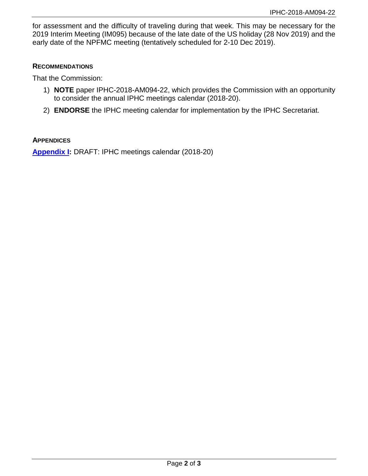for assessment and the difficulty of traveling during that week. This may be necessary for the 2019 Interim Meeting (IM095) because of the late date of the US holiday (28 Nov 2019) and the early date of the NPFMC meeting (tentatively scheduled for 2-10 Dec 2019).

#### **RECOMMENDATIONS**

That the Commission:

- 1) **NOTE** paper IPHC-2018-AM094-22, which provides the Commission with an opportunity to consider the annual IPHC meetings calendar (2018-20).
- 2) **ENDORSE** the IPHC meeting calendar for implementation by the IPHC Secretariat.

#### **APPENDICES**

**[Appendix I:](#page-2-0)** DRAFT: IPHC meetings calendar (2018-20)